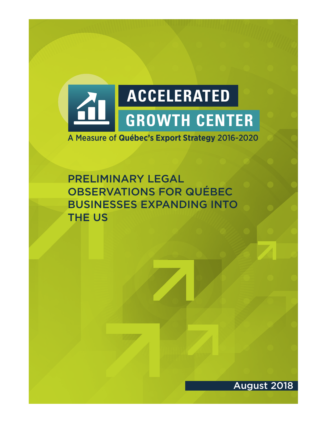

A Measure of **Québec's Export Strategy** 2016-2020

PRELIMINARY LEGAL OBSERVATIONS FOR QUÉBEC BUSINESSES EXPANDING INTO THE US

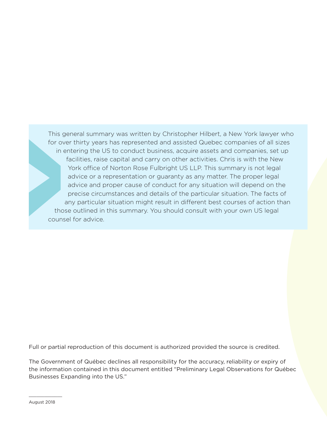This general summary was written by Christopher Hilbert, a New York lawyer who for over thirty years has represented and assisted Quebec companies of all sizes in entering the US to conduct business, acquire assets and companies, set up facilities, raise capital and carry on other activities. Chris is with the New York office of Norton Rose Fulbright US LLP. This summary is not legal advice or a representation or guaranty as any matter. The proper legal advice and proper cause of conduct for any situation will depend on the precise circumstances and details of the particular situation. The facts of any particular situation might result in different best courses of action than those outlined in this summary. You should consult with your own US legal counsel for advice.

Full or partial reproduction of this document is authorized provided the source is credited.

The Government of Québec declines all responsibility for the accuracy, reliability or expiry of the information contained in this document entitled "Preliminary Legal Observations for Québec Businesses Expanding into the US."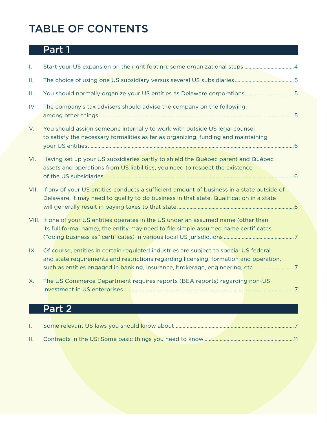# TABLE OF CONTENTS

# **Part 1**

| T.   | Start your US expansion on the right footing: some organizational steps 4                                                                                                                                                                                        |  |
|------|------------------------------------------------------------------------------------------------------------------------------------------------------------------------------------------------------------------------------------------------------------------|--|
| Ш.   |                                                                                                                                                                                                                                                                  |  |
| Ш.   | You should normally organize your US entities as Delaware corporations5                                                                                                                                                                                          |  |
| IV.  | The company's tax advisers should advise the company on the following,                                                                                                                                                                                           |  |
| V.   | You should assign someone internally to work with outside US legal counsel<br>to satisfy the necessary formalities as far as organizing, funding and maintaining                                                                                                 |  |
| VI.  | Having set up your US subsidiaries partly to shield the Québec parent and Québec<br>assets and operations from US liabilities, you need to respect the existence                                                                                                 |  |
| VII. | If any of your US entities conducts a sufficient amount of business in a state outside of<br>Delaware, it may need to qualify to do business in that state. Qualification in a state                                                                             |  |
|      | VIII. If one of your US entities operates in the US under an assumed name (other than<br>its full formal name), the entity may need to file simple assumed name certificates                                                                                     |  |
| IX.  | Of course, entities in certain regulated industries are subject to special US federal<br>and state requirements and restrictions regarding licensing, formation and operation,<br>such as entities engaged in banking, insurance, brokerage, engineering, etc. 7 |  |
| Х.   | The US Commerce Department requires reports (BEA reports) regarding non-US                                                                                                                                                                                       |  |

# Part 2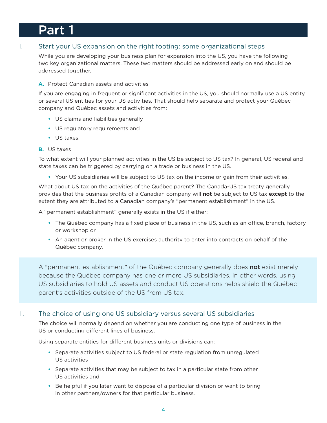# Part 1

# I. Start your US expansion on the right footing: some organizational steps

While you are developing your business plan for expansion into the US, you have the following two key organizational matters. These two matters should be addressed early on and should be addressed together.

## **A.** Protect Canadian assets and activities

If you are engaging in frequent or significant activities in the US, you should normally use a US entity or several US entities for your US activities. That should help separate and protect your Québec company and Québec assets and activities from:

- **•** US claims and liabilities generally
- **•** US regulatory requirements and
- **•** US taxes.
- **B.** US taxes

To what extent will your planned activities in the US be subject to US tax? In general, US federal and state taxes can be triggered by carrying on a trade or business in the US.

**•** Your US subsidiaries will be subject to US tax on the income or gain from their activities.

What about US tax on the activities of the Québec parent? The Canada-US tax treaty generally provides that the business profits of a Canadian company will **not** be subject to US tax **except** to the extent they are attributed to a Canadian company's "permanent establishment" in the US.

A "permanent establishment" generally exists in the US if either:

- **•** The Québec company has a fixed place of business in the US, such as an office, branch, factory or workshop or
- **•** An agent or broker in the US exercises authority to enter into contracts on behalf of the Québec company.

A "permanent establishment" of the Québec company generally does not exist merely because the Québec company has one or more US subsidiaries. In other words, using US subsidiaries to hold US assets and conduct US operations helps shield the Québec parent's activities outside of the US from US tax.

## II. The choice of using one US subsidiary versus several US subsidiaries

The choice will normally depend on whether you are conducting one type of business in the US or conducting different lines of business.

Using separate entities for different business units or divisions can:

- **•** Separate activities subject to US federal or state regulation from unregulated US activities
- **•** Separate activities that may be subject to tax in a particular state from other US activities and
- **•** Be helpful if you later want to dispose of a particular division or want to bring in other partners/owners for that particular business.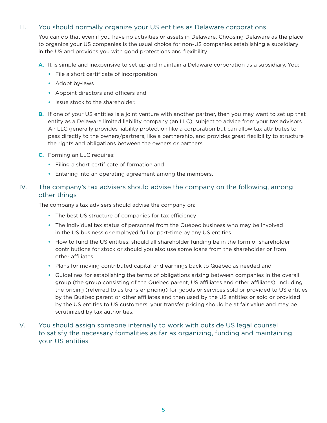## III. You should normally organize your US entities as Delaware corporations

You can do that even if you have no activities or assets in Delaware. Choosing Delaware as the place to organize your US companies is the usual choice for non-US companies establishing a subsidiary in the US and provides you with good protections and flexibility.

**A.** It is simple and inexpensive to set up and maintain a Delaware corporation as a subsidiary. You:

- **•** File a short certificate of incorporation
- **•** Adopt by-laws
- **•** Appoint directors and officers and
- **•** Issue stock to the shareholder.
- **B.** If one of your US entities is a joint venture with another partner, then you may want to set up that entity as a Delaware limited liability company (an LLC), subject to advice from your tax advisors. An LLC generally provides liability protection like a corporation but can allow tax attributes to pass directly to the owners/partners, like a partnership, and provides great flexibility to structure the rights and obligations between the owners or partners.
- **C.** Forming an LLC requires:
	- **•** Filing a short certificate of formation and
	- **•** Entering into an operating agreement among the members.

## IV. The company's tax advisers should advise the company on the following, among other things

The company's tax advisers should advise the company on:

- **•** The best US structure of companies for tax efficiency
- **•** The individual tax status of personnel from the Québec business who may be involved in the US business or employed full or part-time by any US entities
- **•** How to fund the US entities; should all shareholder funding be in the form of shareholder contributions for stock or should you also use some loans from the shareholder or from other affiliates
- **•** Plans for moving contributed capital and earnings back to Québec as needed and
- **•** Guidelines for establishing the terms of obligations arising between companies in the overall group (the group consisting of the Québec parent, US affiliates and other affiliates), including the pricing (referred to as transfer pricing) for goods or services sold or provided to US entities by the Québec parent or other affiliates and then used by the US entities or sold or provided by the US entities to US customers; your transfer pricing should be at fair value and may be scrutinized by tax authorities.

## V. You should assign someone internally to work with outside US legal counsel to satisfy the necessary formalities as far as organizing, funding and maintaining your US entities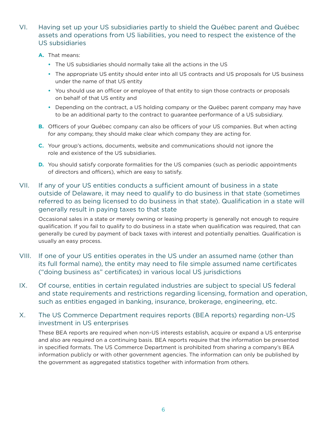- VI. Having set up your US subsidiaries partly to shield the Québec parent and Québec assets and operations from US liabilities, you need to respect the existence of the US subsidiaries
	- **A.** That means:
		- **•** The US subsidiaries should normally take all the actions in the US
		- **•** The appropriate US entity should enter into all US contracts and US proposals for US business under the name of that US entity
		- **•** You should use an officer or employee of that entity to sign those contracts or proposals on behalf of that US entity and
		- **•** Depending on the contract, a US holding company or the Québec parent company may have to be an additional party to the contract to guarantee performance of a US subsidiary.
	- **B.** Officers of your Québec company can also be officers of your US companies. But when acting for any company, they should make clear which company they are acting for.
	- **C.** Your group's actions, documents, website and communications should not ignore the role and existence of the US subsidiaries.
	- **D.** You should satisfy corporate formalities for the US companies (such as periodic appointments of directors and officers), which are easy to satisfy.

# VII. If any of your US entities conducts a sufficient amount of business in a state outside of Delaware, it may need to qualify to do business in that state (sometimes referred to as being licensed to do business in that state). Qualification in a state will generally result in paying taxes to that state

Occasional sales in a state or merely owning or leasing property is generally not enough to require qualification. If you fail to qualify to do business in a state when qualification was required, that can generally be cured by payment of back taxes with interest and potentially penalties. Qualification is usually an easy process.

- VIII. If one of your US entities operates in the US under an assumed name (other than its full formal name), the entity may need to file simple assumed name certificates ("doing business as" certificates) in various local US jurisdictions
- IX. Of course, entities in certain regulated industries are subject to special US federal and state requirements and restrictions regarding licensing, formation and operation, such as entities engaged in banking, insurance, brokerage, engineering, etc.

## X. The US Commerce Department requires reports (BEA reports) regarding non-US investment in US enterprises

These BEA reports are required when non-US interests establish, acquire or expand a US enterprise and also are required on a continuing basis. BEA reports require that the information be presented in specified formats. The US Commerce Department is prohibited from sharing a company's BEA information publicly or with other government agencies. The information can only be published by the government as aggregated statistics together with information from others.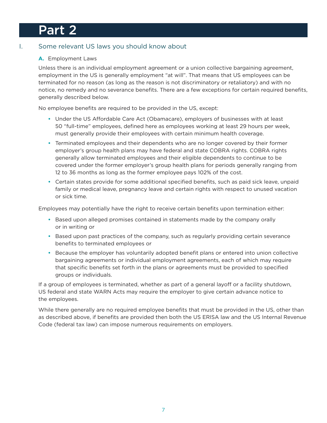# Part 2

# I. Some relevant US laws you should know about

## **A.** Employment Laws

Unless there is an individual employment agreement or a union collective bargaining agreement, employment in the US is generally employment "at will". That means that US employees can be terminated for no reason (as long as the reason is not discriminatory or retaliatory) and with no notice, no remedy and no severance benefits. There are a few exceptions for certain required benefits, generally described below.

No employee benefits are required to be provided in the US, except:

- **•** Under the US Affordable Care Act (Obamacare), employers of businesses with at least 50 "full-time" employees, defined here as employees working at least 29 hours per week, must generally provide their employees with certain minimum health coverage.
- **•** Terminated employees and their dependents who are no longer covered by their former employer's group health plans may have federal and state COBRA rights. COBRA rights generally allow terminated employees and their eligible dependents to continue to be covered under the former employer's group health plans for periods generally ranging from 12 to 36 months as long as the former employee pays 102% of the cost.
- **•** Certain states provide for some additional specified benefits, such as paid sick leave, unpaid family or medical leave, pregnancy leave and certain rights with respect to unused vacation or sick time.

Employees may potentially have the right to receive certain benefits upon termination either:

- **•** Based upon alleged promises contained in statements made by the company orally or in writing or
- **•** Based upon past practices of the company, such as regularly providing certain severance benefits to terminated employees or
- **•** Because the employer has voluntarily adopted benefit plans or entered into union collective bargaining agreements or individual employment agreements, each of which may require that specific benefits set forth in the plans or agreements must be provided to specified groups or individuals.

If a group of employees is terminated, whether as part of a general layoff or a facility shutdown, US federal and state WARN Acts may require the employer to give certain advance notice to the employees.

While there generally are no required employee benefits that must be provided in the US, other than as described above, if benefits are provided then both the US ERISA law and the US Internal Revenue Code (federal tax law) can impose numerous requirements on employers.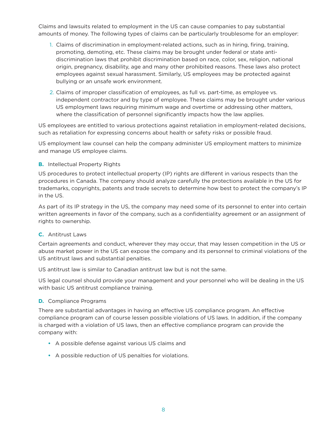Claims and lawsuits related to employment in the US can cause companies to pay substantial amounts of money. The following types of claims can be particularly troublesome for an employer:

- 1. Claims of discrimination in employment-related actions, such as in hiring, firing, training, promoting, demoting, etc. These claims may be brought under federal or state antidiscrimination laws that prohibit discrimination based on race, color, sex, religion, national origin, pregnancy, disability, age and many other prohibited reasons. These laws also protect employees against sexual harassment. Similarly, US employees may be protected against bullying or an unsafe work environment.
- 2. Claims of improper classification of employees, as full vs. part-time, as employee vs. independent contractor and by type of employee. These claims may be brought under various US employment laws requiring minimum wage and overtime or addressing other matters, where the classification of personnel significantly impacts how the law applies.

US employees are entitled to various protections against retaliation in employment-related decisions, such as retaliation for expressing concerns about health or safety risks or possible fraud.

US employment law counsel can help the company administer US employment matters to minimize and manage US employee claims.

### **B.** Intellectual Property Rights

US procedures to protect intellectual property (IP) rights are different in various respects than the procedures in Canada. The company should analyze carefully the protections available in the US for trademarks, copyrights, patents and trade secrets to determine how best to protect the company's IP in the US.

As part of its IP strategy in the US, the company may need some of its personnel to enter into certain written agreements in favor of the company, such as a confidentiality agreement or an assignment of rights to ownership.

#### **C.** Antitrust Laws

Certain agreements and conduct, wherever they may occur, that may lessen competition in the US or abuse market power in the US can expose the company and its personnel to criminal violations of the US antitrust laws and substantial penalties.

US antitrust law is similar to Canadian antitrust law but is not the same.

US legal counsel should provide your management and your personnel who will be dealing in the US with basic US antitrust compliance training.

#### **D.** Compliance Programs

There are substantial advantages in having an effective US compliance program. An effective compliance program can of course lessen possible violations of US laws. In addition, if the company is charged with a violation of US laws, then an effective compliance program can provide the company with:

- **•** A possible defense against various US claims and
- **•** A possible reduction of US penalties for violations.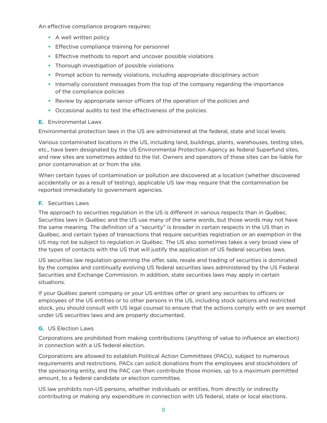An effective compliance program requires:

- **•** A well written policy
- **•** Effective compliance training for personnel
- **•** Effective methods to report and uncover possible violations
- **•** Thorough investigation of possible violations
- **•** Prompt action to remedy violations, including appropriate disciplinary action
- **•** Internally consistent messages from the top of the company regarding the importance of the compliance policies
- **•** Review by appropriate senior officers of the operation of the policies and
- **•** Occasional audits to test the effectiveness of the policies.

#### **E.** Environmental Laws

Environmental protection laws in the US are administered at the federal, state and local levels.

Various contaminated locations in the US, including land, buildings, plants, warehouses, testing sites, etc., have been designated by the US Environmental Protection Agency as federal Superfund sites, and new sites are sometimes added to the list. Owners and operators of these sites can be liable for prior contamination at or from the site.

When certain types of contamination or pollution are discovered at a location (whether discovered accidentally or as a result of testing), applicable US law may require that the contamination be reported immediately to government agencies.

### **F.** Securities Laws

The approach to securities regulation in the US is different in various respects than in Québec. Securities laws in Québec and the US use many of the same words, but those words may not have the same meaning. The definition of a "security" is broader in certain respects in the US than in Québec, and certain types of transactions that require securities registration or an exemption in the US may not be subject to regulation in Québec. The US also sometimes takes a very broad view of the types of contacts with the US that will justify the application of US federal securities laws.

US securities law regulation governing the offer, sale, resale and trading of securities is dominated by the complex and continually evolving US federal securities laws administered by the US Federal Securities and Exchange Commission. In addition, state securities laws may apply in certain situations.

If your Québec parent company or your US entities offer or grant any securities to officers or employees of the US entities or to other persons in the US, including stock options and restricted stock, you should consult with US legal counsel to ensure that the actions comply with or are exempt under US securities laws and are properly documented.

## **G.** US Election Laws

Corporations are prohibited from making contributions (anything of value to influence an election) in connection with a US federal election.

Corporations are allowed to establish Political Action Committees (PACs), subject to numerous requirements and restrictions. PACs can solicit donations from the employees and stockholders of the sponsoring entity, and the PAC can then contribute those monies, up to a maximum permitted amount, to a federal candidate or election committee.

US law prohibits non-US persons, whether individuals or entities, from directly or indirectly contributing or making any expenditure in connection with US federal, state or local elections.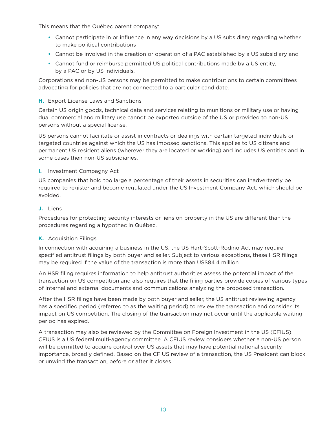This means that the Québec parent company:

- **•** Cannot participate in or influence in any way decisions by a US subsidiary regarding whether to make political contributions
- **•** Cannot be involved in the creation or operation of a PAC established by a US subsidiary and
- **•** Cannot fund or reimburse permitted US political contributions made by a US entity, by a PAC or by US individuals.

Corporations and non-US persons may be permitted to make contributions to certain committees advocating for policies that are not connected to a particular candidate.

## **H.** Export License Laws and Sanctions

Certain US origin goods, technical data and services relating to munitions or military use or having dual commercial and military use cannot be exported outside of the US or provided to non-US persons without a special license.

US persons cannot facilitate or assist in contracts or dealings with certain targeted individuals or targeted countries against which the US has imposed sanctions. This applies to US citizens and permanent US resident aliens (wherever they are located or working) and includes US entities and in some cases their non-US subsidiaries.

### **I.** Investment Compagny Act

US companies that hold too large a percentage of their assets in securities can inadvertently be required to register and become regulated under the US Investment Company Act, which should be avoided.

### **J.** Liens

Procedures for protecting security interests or liens on property in the US are different than the procedures regarding a hypothec in Québec.

#### **K.** Acquisition Filings

In connection with acquiring a business in the US, the US Hart-Scott-Rodino Act may require specified antitrust filings by both buyer and seller. Subject to various exceptions, these HSR filings may be required if the value of the transaction is more than US\$84.4 million.

An HSR filing requires information to help antitrust authorities assess the potential impact of the transaction on US competition and also requires that the filing parties provide copies of various types of internal and external documents and communications analyzing the proposed transaction.

After the HSR filings have been made by both buyer and seller, the US antitrust reviewing agency has a specified period (referred to as the waiting period) to review the transaction and consider its impact on US competition. The closing of the transaction may not occur until the applicable waiting period has expired.

A transaction may also be reviewed by the Committee on Foreign Investment in the US (CFIUS). CFIUS is a US federal multi-agency committee. A CFIUS review considers whether a non-US person will be permitted to acquire control over US assets that may have potential national security importance, broadly defined. Based on the CFIUS review of a transaction, the US President can block or unwind the transaction, before or after it closes.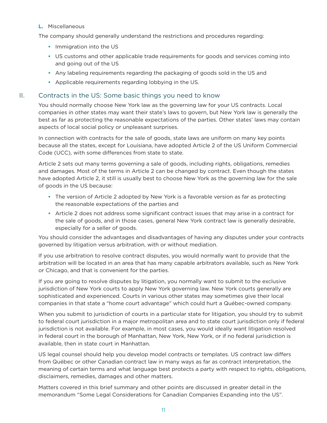### **L.** Miscellaneous

The company should generally understand the restrictions and procedures regarding:

- **•** Immigration into the US
- **•** US customs and other applicable trade requirements for goods and services coming into and going out of the US
- **•** Any labeling requirements regarding the packaging of goods sold in the US and
- **•** Applicable requirements regarding lobbying in the US.

## II. Contracts in the US: Some basic things you need to know

You should normally choose New York law as the governing law for your US contracts. Local companies in other states may want their state's laws to govern, but New York law is generally the best as far as protecting the reasonable expectations of the parties. Other states' laws may contain aspects of local social policy or unpleasant surprises.

In connection with contracts for the sale of goods, state laws are uniform on many key points because all the states, except for Louisiana, have adopted Article 2 of the US Uniform Commercial Code (UCC), with some differences from state to state.

Article 2 sets out many terms governing a sale of goods, including rights, obligations, remedies and damages. Most of the terms in Article 2 can be changed by contract. Even though the states have adopted Article 2, it still is usually best to choose New York as the governing law for the sale of goods in the US because:

- **•** The version of Article 2 adopted by New York is a favorable version as far as protecting the reasonable expectations of the parties and
- **•** Article 2 does not address some significant contract issues that may arise in a contract for the sale of goods, and in those cases, general New York contract law is generally desirable, especially for a seller of goods.

You should consider the advantages and disadvantages of having any disputes under your contracts governed by litigation versus arbitration, with or without mediation.

If you use arbitration to resolve contract disputes, you would normally want to provide that the arbitration will be located in an area that has many capable arbitrators available, such as New York or Chicago, and that is convenient for the parties.

If you are going to resolve disputes by litigation, you normally want to submit to the exclusive jurisdiction of New York courts to apply New York governing law. New York courts generally are sophisticated and experienced. Courts in various other states may sometimes give their local companies in that state a "home court advantage" which could hurt a Québec-owned company.

When you submit to jurisdiction of courts in a particular state for litigation, you should try to submit to federal court jurisdiction in a major metropolitan area and to state court jurisdiction only if federal jurisdiction is not available. For example, in most cases, you would ideally want litigation resolved in federal court in the borough of Manhattan, New York, New York, or if no federal jurisdiction is available, then in state court in Manhattan.

US legal counsel should help you develop model contracts or templates. US contract law differs from Québec or other Canadian contract law in many ways as far as contract interpretation, the meaning of certain terms and what language best protects a party with respect to rights, obligations, disclaimers, remedies, damages and other matters.

Matters covered in this brief summary and other points are discussed in greater detail in the memorandum "Some Legal Considerations for Canadian Companies Expanding into the US".